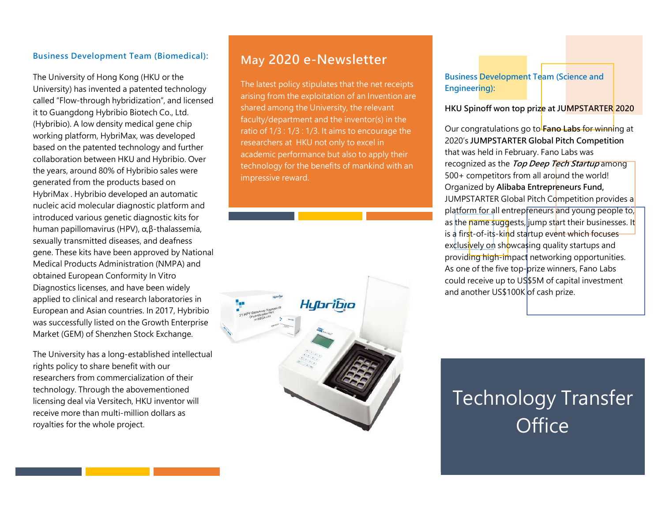#### Business Development Team (Biomedical):

The University of Hong Kong (HKU or the University) has invented a patented technology called "Flow-through hybridization", and licensed it to Guangdong Hybribio Biotech Co., Ltd. (Hybribio). A low density medical gene chip working platform, HybriMax, was developed based on the patented technology and further collaboration between HKU and Hybribio. Over the years, around 80% of Hybribio sales were generated from the products based on HybriMax . Hybribio developed an automatic nucleic acid molecular diagnostic platform and introduced various genetic diagnostic kits for human papillomavirus (HPV), α,β-thalassemia, sexually transmitted diseases, and deafness gene. These kits have been approved by National Medical Products Administration (NMPA) and obtained European Conformity In Vitro Diagnostics licenses, and have been widely applied to clinical and research laboratories in European and Asian countries. In 2017, Hybribio was successfully listed on the Growth Enterprise Market (GEM) of Shenzhen Stock Exchange.

The University has a long-established intellectual rights policy to share benefit with our researchers from commercialization of their technology. Through the abovementioned licensing deal via Versitech, HKU inventor will receive more than multi-million dollars as royalties for the whole project.

## May 2020 e-Newsletter

The latest policy stipulates that the net receipts arising from the exploitation of an Invention are shared among the University, the relevant faculty/department and the inventor(s) in the ratio of 1/3 : 1/3 : 1/3. It aims to encourage the researchers at HKU not only to excel in academic performance but also to apply their technology for the benefits of mankind with an impressive reward.



**Business Development Team (Science and** Engineering):

#### HKU Spinoff won top prize at JUMPSTARTER 2020

Our congratulations go to Fano Labs for winning at 2020's JUMPSTARTER Global Pitch Competition that was held in February. Fano Labs was recognized as the Top Deep Tech Startup among  $500+$  competitors from all around the world! Organized by Alibaba Entrepreneurs Fund, JUMPSTARTER Global Pitch Competition provides a platform for all entrepreneurs and young people to, as the name suggests, jump start their businesses. It is a first-of-its-kind startup event which focuses exclusively on showcasing quality startups and providing high-impact networking opportunities. As one of the five top-prize winners, Fano Labs could receive up to US\$5M of capital investment and another US\$100K of cash prize.

# Technology Transfer **Office**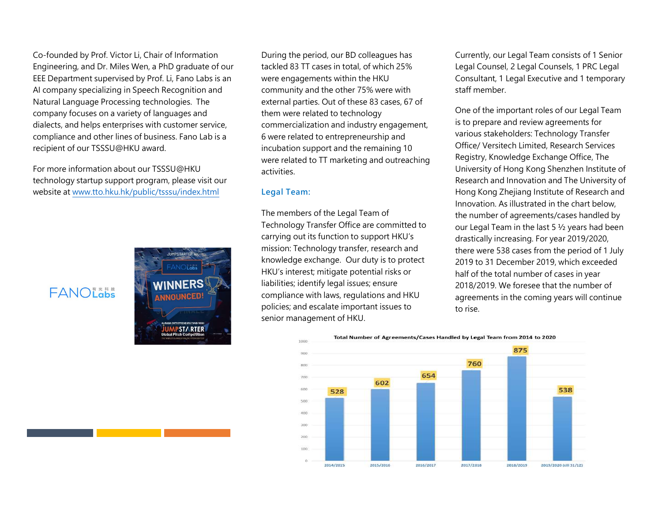Co-founded by Prof. Victor Li, Chair of Information Engineering, and Dr. Miles Wen, a PhD graduate of our EEE Department supervised by Prof. Li, Fano Labs is an AI company specializing in Speech Recognition and Natural Language Processing technologies. The company focuses on a variety of languages and dialects, and helps enterprises with customer service, compliance and other lines of business. Fano Lab is a recipient of our TSSSU@HKU award.

For more information about our TSSSU@HKU technology startup support program, please visit our website at www.tto.hku.hk/public/tsssu/index.html

FANOLODS



During the period, our BD colleagues has tackled 83 TT cases in total, of which 25% were engagements within the HKU community and the other 75% were with external parties. Out of these 83 cases, 67 of them were related to technology commercialization and industry engagement, 6 were related to entrepreneurship and incubation support and the remaining 10 were related to TT marketing and outreaching activities.

#### Legal Team:

The members of the Legal Team of Technology Transfer Office are committed to carrying out its function to support HKU's mission: Technology transfer, research and knowledge exchange. Our duty is to protect HKU's interest; mitigate potential risks or liabilities; identify legal issues; ensure compliance with laws, regulations and HKU policies; and escalate important issues to senior management of HKU.

Currently, our Legal Team consists of 1 Senior Legal Counsel, 2 Legal Counsels, 1 PRC Legal Consultant, 1 Legal Executive and 1 temporary staff member.

One of the important roles of our Legal Team is to prepare and review agreements for various stakeholders: Technology Transfer Office/ Versitech Limited, Research Services Registry, Knowledge Exchange Office, The University of Hong Kong Shenzhen Institute of Research and Innovation and The University of Hong Kong Zhejiang Institute of Research and Innovation. As illustrated in the chart below, the number of agreements/cases handled by our Legal Team in the last 5 ½ years had been drastically increasing. For year 2019/2020, there were 538 cases from the period of 1 July 2019 to 31 December 2019, which exceeded half of the total number of cases in year 2018/2019. We foresee that the number of agreements in the coming years will continue to rise.

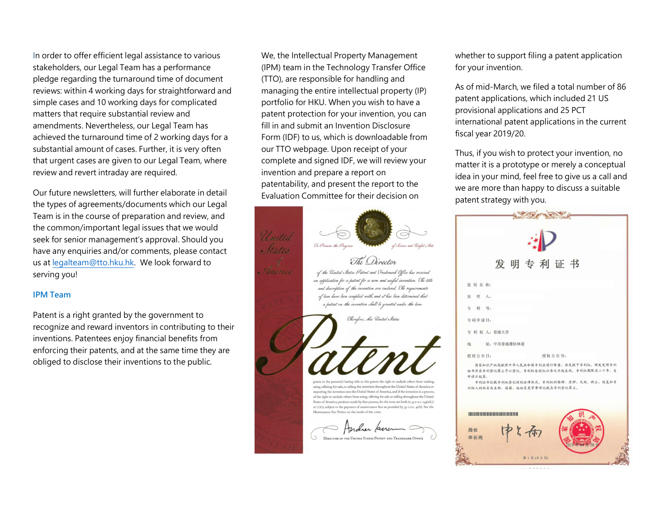In order to offer efficient legal assistance to various stakeholders, our Legal Team has a performance pledge regarding the turnaround time of document reviews: within 4 working days for straightforward and simple cases and 10 working days for complicated matters that require substantial review and amendments. Nevertheless, our Legal Team has achieved the turnaround time of 2 working days for a substantial amount of cases. Further, it is very often that urgent cases are given to our Legal Team, where review and revert intraday are required.

Our future newsletters, will further elaborate in detail the types of agreements/documents which our Legal Team is in the course of preparation and review, and the common/important legal issues that we would seek for senior management's approval. Should you have any enquiries and/or comments, please contact and electrical us at legalteam@tto.hku.hk. We look forward to serving you!

#### IPM Team

Patent is a right granted by the government to recognize and reward inventors in contributing to their inventions. Patentees enjoy financial benefits from enforcing their patents, and at the same time they are obliged to disclose their inventions to the public.

We, the Intellectual Property Management (IPM) team in the Technology Transfer Office (TTO), are responsible for handling and managing the entire intellectual property (IP) portfolio for HKU. When you wish to have a patent protection for your invention, you can fill in and submit an Invention Disclosure Form (IDF) to us, which is downloadable from our TTO webpage. Upon receipt of your complete and signed IDF, we will review your invention and prepare a report on patentability, and present the report to the Evaluation Committee for their decision on



whether to support filing a patent application for your invention.

As of mid-March, we filed a total number of 86 patent applications, which included 21 US provisional applications and 25 PCT international patent applications in the current fiscal year 2019/20.

Thus, if you wish to protect your invention, no matter it is a prototype or merely a conceptual idea in your mind, feel free to give us a call and we are more than happy to discuss a suitable patent strategy with you.

| 发明专利证书                                   |                                                                                                                              |
|------------------------------------------|------------------------------------------------------------------------------------------------------------------------------|
|                                          |                                                                                                                              |
| 发明名称:                                    |                                                                                                                              |
| 发 明 人:                                   |                                                                                                                              |
| 专 利 号:                                   |                                                                                                                              |
| 专利申请日:                                   |                                                                                                                              |
| 专 利 权 人: 香港大学                            |                                                                                                                              |
| 地 址: 中国香港薄扶林道                            |                                                                                                                              |
| 授权公告日:                                   | 授权公告号:                                                                                                                       |
| 申请日起算,<br>利权人的姓名或名称、国籍、地址变更等事项记载在专利登记簿上。 | 国家知识产权局依照中华人民共和国专利法进行审查,决定授予专利权,颁发发明专利<br>证书并在专利登记簿上予以登记。专利权自授权公告之日起生效。专利权期限为二十年,自<br>专利证书记载专利权登记时的法律状况。专利权的转移、质押、无效、终止、恢复和专 |
|                                          |                                                                                                                              |